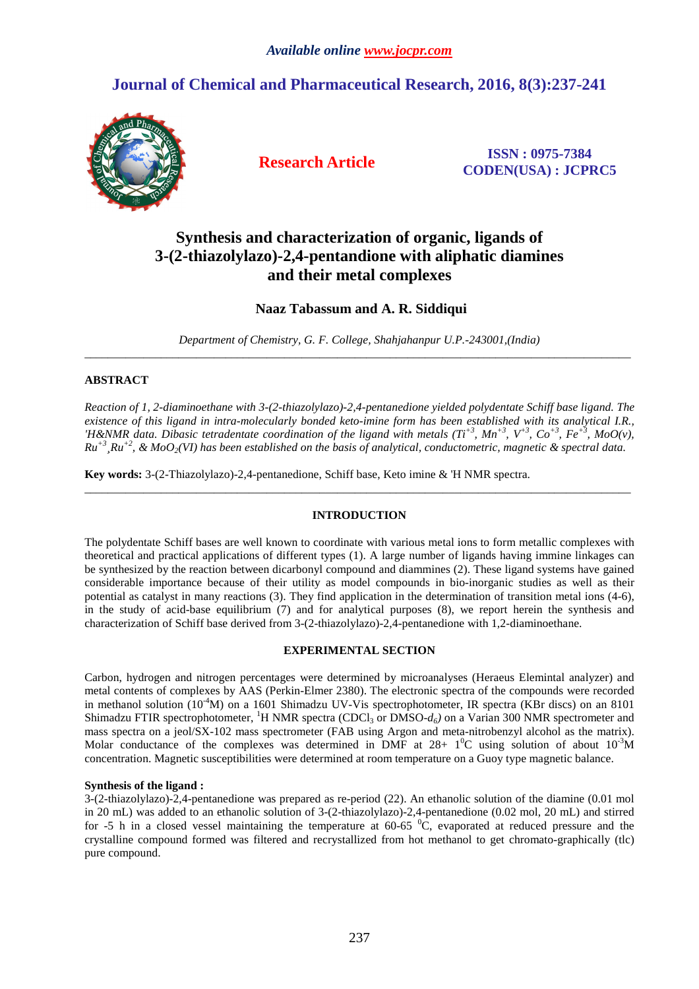# **Journal of Chemical and Pharmaceutical Research, 2016, 8(3):237-241**



**Research Article ISSN : 0975-7384 CODEN(USA) : JCPRC5**

# **Synthesis and characterization of organic, ligands of 3-(2-thiazolylazo)-2,4-pentandione with aliphatic diamines and their metal complexes**

# **Naaz Tabassum and A. R. Siddiqui**

*Department of Chemistry, G. F. College, Shahjahanpur U.P.-243001,(India)*  \_\_\_\_\_\_\_\_\_\_\_\_\_\_\_\_\_\_\_\_\_\_\_\_\_\_\_\_\_\_\_\_\_\_\_\_\_\_\_\_\_\_\_\_\_\_\_\_\_\_\_\_\_\_\_\_\_\_\_\_\_\_\_\_\_\_\_\_\_\_\_\_\_\_\_\_\_\_\_\_\_\_\_\_\_\_\_\_\_\_\_\_\_

## **ABSTRACT**

*Reaction of 1, 2-diaminoethane with 3-(2-thiazolylazo)-2,4-pentanedione yielded polydentate Schiff base ligand. The existence of this ligand in intra-molecularly bonded keto-imine form has been established with its analytical I.R., 'H&NMR data. Dibasic tetradentate coordination of the ligand with metals*  $(Tt^{+3}, Mn^{+3}, V^{+3}, Co^{+3}, Fe^{+3}, MoO(v),$ *Ru+3¸Ru+2, & MoO2(VI) has been established on the basis of analytical, conductometric, magnetic & spectral data.* 

**Key words:** 3-(2-Thiazolylazo)-2,4-pentanedione, Schiff base, Keto imine & 'H NMR spectra.

# **INTRODUCTION**

\_\_\_\_\_\_\_\_\_\_\_\_\_\_\_\_\_\_\_\_\_\_\_\_\_\_\_\_\_\_\_\_\_\_\_\_\_\_\_\_\_\_\_\_\_\_\_\_\_\_\_\_\_\_\_\_\_\_\_\_\_\_\_\_\_\_\_\_\_\_\_\_\_\_\_\_\_\_\_\_\_\_\_\_\_\_\_\_\_\_\_\_\_

The polydentate Schiff bases are well known to coordinate with various metal ions to form metallic complexes with theoretical and practical applications of different types (1). A large number of ligands having immine linkages can be synthesized by the reaction between dicarbonyl compound and diammines (2). These ligand systems have gained considerable importance because of their utility as model compounds in bio-inorganic studies as well as their potential as catalyst in many reactions (3). They find application in the determination of transition metal ions (4-6), in the study of acid-base equilibrium (7) and for analytical purposes (8), we report herein the synthesis and characterization of Schiff base derived from 3-(2-thiazolylazo)-2,4-pentanedione with 1,2-diaminoethane.

## **EXPERIMENTAL SECTION**

Carbon, hydrogen and nitrogen percentages were determined by microanalyses (Heraeus Elemintal analyzer) and metal contents of complexes by AAS (Perkin-Elmer 2380). The electronic spectra of the compounds were recorded in methanol solution  $(10^{-4}M)$  on a 1601 Shimadzu UV-Vis spectrophotometer, IR spectra (KBr discs) on an 8101 Shimadzu FTIR spectrophotometer, <sup>1</sup>H NMR spectra (CDCl<sub>3</sub> or DMSO- $d_6$ ) on a Varian 300 NMR spectrometer and mass spectra on a jeol/SX-102 mass spectrometer (FAB using Argon and meta-nitrobenzyl alcohol as the matrix). Molar conductance of the complexes was determined in DMF at  $28+10^{\circ}$  using solution of about  $10^{-3}$ M concentration. Magnetic susceptibilities were determined at room temperature on a Guoy type magnetic balance.

## **Synthesis of the ligand :**

3-(2-thiazolylazo)-2,4-pentanedione was prepared as re-period (22). An ethanolic solution of the diamine (0.01 mol in 20 mL) was added to an ethanolic solution of 3-(2-thiazolylazo)-2,4-pentanedione (0.02 mol, 20 mL) and stirred for -5 h in a closed vessel maintaining the temperature at  $60-65\degree\text{C}$ , evaporated at reduced pressure and the crystalline compound formed was filtered and recrystallized from hot methanol to get chromato-graphically (tlc) pure compound.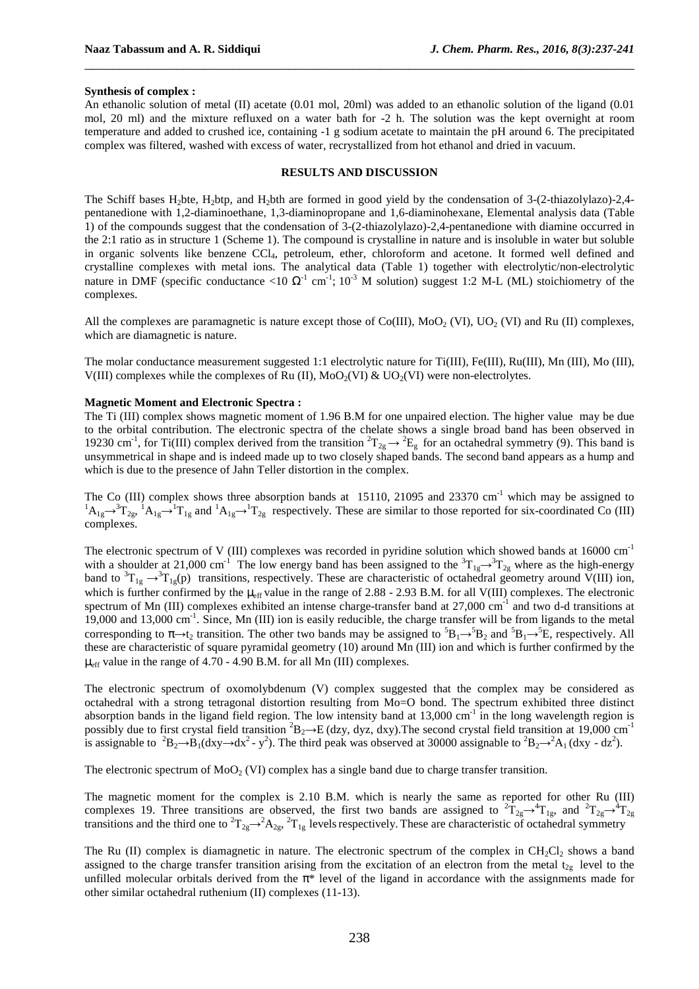#### **Synthesis of complex :**

An ethanolic solution of metal (II) acetate (0.01 mol, 20ml) was added to an ethanolic solution of the ligand (0.01 mol, 20 ml) and the mixture refluxed on a water bath for -2 h. The solution was the kept overnight at room temperature and added to crushed ice, containing -1 g sodium acetate to maintain the pH around 6. The precipitated complex was filtered, washed with excess of water, recrystallized from hot ethanol and dried in vacuum.

\_\_\_\_\_\_\_\_\_\_\_\_\_\_\_\_\_\_\_\_\_\_\_\_\_\_\_\_\_\_\_\_\_\_\_\_\_\_\_\_\_\_\_\_\_\_\_\_\_\_\_\_\_\_\_\_\_\_\_\_\_\_\_\_\_\_\_\_\_\_\_\_\_\_\_\_\_\_

## **RESULTS AND DISCUSSION**

The Schiff bases H2bte, H2btp, and H2bth are formed in good yield by the condensation of 3-(2-thiazolylazo)-2,4 pentanedione with 1,2-diaminoethane, 1,3-diaminopropane and 1,6-diaminohexane, Elemental analysis data (Table 1) of the compounds suggest that the condensation of 3-(2-thiazolylazo)-2,4-pentanedione with diamine occurred in the 2:1 ratio as in structure 1 (Scheme 1). The compound is crystalline in nature and is insoluble in water but soluble in organic solvents like benzene CCl<sub>4</sub>, petroleum, ether, chloroform and acetone. It formed well defined and crystalline complexes with metal ions. The analytical data (Table 1) together with electrolytic/non-electrolytic nature in DMF (specific conductance <10  $\Omega$ <sup>-1</sup> cm<sup>-1</sup>; 10<sup>-3</sup> M solution) suggest 1:2 M-L (ML) stoichiometry of the complexes.

All the complexes are paramagnetic is nature except those of  $Co(III)$ ,  $Mo_2$  (VI),  $UO_2$  (VI) and Ru (II) complexes, which are diamagnetic is nature.

The molar conductance measurement suggested 1:1 electrolytic nature for Ti(III), Fe(III), Ru(III), Mn (III), Mo (III), V(III) complexes while the complexes of Ru (II),  $MoO<sub>2</sub>(VI) \& UO<sub>2</sub>(VI)$  were non-electrolytes.

### **Magnetic Moment and Electronic Spectra :**

The Ti (III) complex shows magnetic moment of 1.96 B.M for one unpaired election. The higher value may be due to the orbital contribution. The electronic spectra of the chelate shows a single broad band has been observed in 19230 cm<sup>-1</sup>, for Ti(III) complex derived from the transition  ${}^2T_{2g} \rightarrow {}^2E_g$  for an octahedral symmetry (9). This band is unsymmetrical in shape and is indeed made up to two closely shaped bands. The second band appears as a hump and which is due to the presence of Jahn Teller distortion in the complex.

The Co (III) complex shows three absorption bands at 15110, 21095 and 23370 cm<sup>-1</sup> which may be assigned to  ${}^{1}A_{1g} \rightarrow {}^{3}T_{2g}$ ,  ${}^{1}A_{1g} \rightarrow {}^{1}T_{1g}$  and  ${}^{1}A_{1g} \rightarrow {}^{1}T_{2g}$  respectively. These are similar to those reported for six-coordinated Co (III) complexes.

The electronic spectrum of V (III) complexes was recorded in pyridine solution which showed bands at 16000 cm<sup>-1</sup> with a shoulder at 21,000 cm<sup>-1</sup> The low energy band has been assigned to the  ${}^{3}T_{1g} \rightarrow {}^{3}T_{2g}$  where as the high-energy band to  ${}^{3}T_{1g} \rightarrow {}^{3}T_{1g}(p)$  transitions, respectively. These are characteristic of octahedral geometry around V(III) ion, which is further confirmed by the  $\mu_{eff}$  value in the range of 2.88 - 2.93 B.M. for all V(III) complexes. The electronic spectrum of Mn (III) complexes exhibited an intense charge-transfer band at 27,000 cm-1 and two d-d transitions at 19,000 and 13,000 cm<sup>-1</sup>. Since, Mn (III) ion is easily reducible, the charge transfer will be from ligands to the metal corresponding to  $\pi \rightarrow t_2$  transition. The other two bands may be assigned to  ${}^5B_1 \rightarrow {}^5B_2$  and  ${}^5B_1 \rightarrow {}^5E$ , respectively. All these are characteristic of square pyramidal geometry (10) around Mn (III) ion and which is further confirmed by the  $\mu_{\text{eff}}$  value in the range of 4.70 - 4.90 B.M. for all Mn (III) complexes.

The electronic spectrum of oxomolybdenum (V) complex suggested that the complex may be considered as octahedral with a strong tetragonal distortion resulting from Mo=O bond. The spectrum exhibited three distinct absorption bands in the ligand field region. The low intensity band at  $13,000 \text{ cm}^{-1}$  in the long wavelength region is possibly due to first crystal field transition  ${}^{2}B_{2} \rightarrow E$  (dzy, dyz, dxy). The second crystal field transition at 19,000 cm<sup>-1</sup> is assignable to  ${}^{2}B_{2} \rightarrow B_{1}(dxy \rightarrow dx^{2} - y^{2})$ . The third peak was observed at 30000 assignable to  ${}^{2}B_{2} \rightarrow {}^{2}A_{1}(dxy - dz^{2})$ .

The electronic spectrum of  $MoO<sub>2</sub>$  (VI) complex has a single band due to charge transfer transition.

The magnetic moment for the complex is 2.10 B.M. which is nearly the same as reported for other Ru (III) complexes 19. Three transitions are observed, the first two bands are assigned to  ${}^{2}T_{2g} \rightarrow {}^{4}T_{1g}$ , and  ${}^{2}T_{2g} \rightarrow {}^{4}T_{2g}$ transitions and the third one to  ${}^{2}T_{2g} \rightarrow {}^{2}A_{2g}$ ,  ${}^{2}T_{1g}$  levels respectively. These are characteristic of octahedral symmetry

The Ru (II) complex is diamagnetic in nature. The electronic spectrum of the complex in  $CH_2Cl_2$  shows a band assigned to the charge transfer transition arising from the excitation of an electron from the metal  $t_{2g}$  level to the unfilled molecular orbitals derived from the  $\pi^*$  level of the ligand in accordance with the assignments made for other similar octahedral ruthenium (II) complexes (11-13).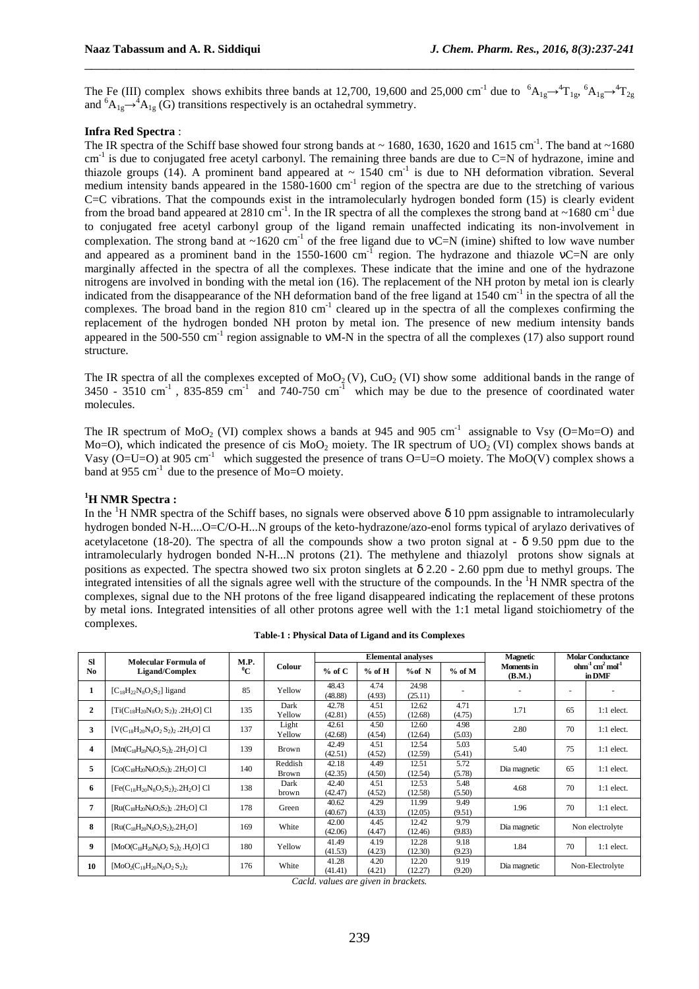The Fe (III) complex shows exhibits three bands at 12,700, 19,600 and 25,000 cm<sup>-1</sup> due to  ${}^{6}A_{1g} \rightarrow {}^{4}T_{1g}$ ,  ${}^{6}A_{1g} \rightarrow {}^{4}T_{2g}$ and  ${}^{6}A_{1g} \rightarrow {}^{4}A_{1g}$  (G) transitions respectively is an octahedral symmetry.

\_\_\_\_\_\_\_\_\_\_\_\_\_\_\_\_\_\_\_\_\_\_\_\_\_\_\_\_\_\_\_\_\_\_\_\_\_\_\_\_\_\_\_\_\_\_\_\_\_\_\_\_\_\_\_\_\_\_\_\_\_\_\_\_\_\_\_\_\_\_\_\_\_\_\_\_\_\_

## **Infra Red Spectra** :

The IR spectra of the Schiff base showed four strong bands at  $\sim$  1680, 1630, 1620 and 1615 cm<sup>-1</sup>. The band at  $\sim$ 1680  $cm^{-1}$  is due to conjugated free acetyl carbonyl. The remaining three bands are due to C=N of hydrazone, imine and thiazole groups (14). A prominent band appeared at  $\sim 1540$  cm<sup>-1</sup> is due to NH deformation vibration. Several medium intensity bands appeared in the  $1580-1600$  cm<sup>-1</sup> region of the spectra are due to the stretching of various C=C vibrations. That the compounds exist in the intramolecularly hydrogen bonded form (15) is clearly evident from the broad band appeared at  $2810 \text{ cm}^{-1}$ . In the IR spectra of all the complexes the strong band at  $\sim 1680 \text{ cm}^{-1}$  due to conjugated free acetyl carbonyl group of the ligand remain unaffected indicating its non-involvement in complexation. The strong band at ~1620 cm<sup>-1</sup> of the free ligand due to  $vC=N$  (imine) shifted to low wave number and appeared as a prominent band in the 1550-1600  $cm^{-1}$  region. The hydrazone and thiazole vC=N are only marginally affected in the spectra of all the complexes. These indicate that the imine and one of the hydrazone nitrogens are involved in bonding with the metal ion (16). The replacement of the NH proton by metal ion is clearly indicated from the disappearance of the NH deformation band of the free ligand at 1540 cm<sup>-1</sup> in the spectra of all the complexes. The broad band in the region 810 cm<sup>-1</sup> cleared up in the spectra of all the complexes confirming the replacement of the hydrogen bonded NH proton by metal ion. The presence of new medium intensity bands appeared in the 500-550 cm<sup>-1</sup> region assignable to vM-N in the spectra of all the complexes (17) also support round structure.

The IR spectra of all the complexes excepted of  $MoO<sub>2</sub>(V)$ ,  $CuO<sub>2</sub>(VI)$  show some additional bands in the range of  $3450 - 3510$  cm<sup>-1</sup>, 835-859 cm<sup>-1</sup> and 740-750 cm<sup>-1</sup> which may be due to the presence of coordinated water molecules.

The IR spectrum of MoO<sub>2</sub> (VI) complex shows a bands at 945 and 905 cm<sup>-1</sup> assignable to Vsy (O=Mo=O) and Mo=O), which indicated the presence of cis MoO<sub>2</sub> moiety. The IR spectrum of UO<sub>2</sub> (VI) complex shows bands at Vasy (O=U=O) at 905 cm<sup>-1</sup> which suggested the presence of trans O=U=O moiety. The MoO(V) complex shows a band at 955 cm<sup>-1</sup> due to the presence of Mo=O moiety.

## **<sup>1</sup>H NMR Spectra :**

In the <sup>1</sup>H NMR spectra of the Schiff bases, no signals were observed above  $\delta$  10 ppm assignable to intramolecularly hydrogen bonded N-H....O=C/O-H...N groups of the keto-hydrazone/azo-enol forms typical of arylazo derivatives of acetylacetone (18-20). The spectra of all the compounds show a two proton signal at  $\delta$  9.50 ppm due to the intramolecularly hydrogen bonded N-H...N protons (21). The methylene and thiazolyl protons show signals at positions as expected. The spectra showed two six proton singlets at  $\delta$  2.20 - 2.60 ppm due to methyl groups. The integrated intensities of all the signals agree well with the structure of the compounds. In the  ${}^{1}H$  NMR spectra of the complexes, signal due to the NH protons of the free ligand disappeared indicating the replacement of these protons by metal ions. Integrated intensities of all other protons agree well with the 1:1 metal ligand stoichiometry of the complexes.

| <b>SI</b>      | Molecular Formula of                                 | M.P.  |                         | <b>Elemental analyses</b> |                |                  |                | <b>Magnetic</b>             | <b>Molar Conductance</b>    |              |
|----------------|------------------------------------------------------|-------|-------------------------|---------------------------|----------------|------------------|----------------|-----------------------------|-----------------------------|--------------|
| No.            | Ligand/Complex                                       | $^0C$ | Colour                  | $%$ of C                  | $%$ of H       | %of N            | $%$ of M       | <b>Moments</b> in<br>(B.M.) | $ohm-1 cm2 mol-1$<br>in DMF |              |
| 1              | $[C_{18}H_{22}N_8O_2S_2]$ ligand                     | 85    | Yellow                  | 48.43<br>(48.88)          | 4.74<br>(4.93) | 24.98<br>(25.11) |                |                             |                             |              |
| $\overline{2}$ | $[Ti(C_{18}H_{20}N_8O_2S_2), 2H_2O]$ Cl              | 135   | Dark<br>Yellow          | 42.78<br>(42.81)          | 4.51<br>(4.55) | 12.62<br>(12.68) | 4.71<br>(4.75) | 1.71                        | 65                          | $1:1$ elect. |
| 3              | $[V(C_{18}H_{20}N_8O_2S_2)_2.2H_2O]$ Cl              | 137   | Light<br>Yellow         | 42.61<br>(42.68)          | 4.50<br>(4.54) | 12.60<br>(12.64) | 4.98<br>(5.03) | 2.80                        | 70                          | $1:1$ elect. |
| 4              | $[Mn(C_{18}H_{20}N_8O_2S_2), 2H_2O]$ Cl              | 139   | <b>Brown</b>            | 42.49<br>(42.51)          | 4.51<br>(4.52) | 12.54<br>(12.59) | 5.03<br>(5.41) | 5.40                        | 75                          | $1:1$ elect. |
| 5              | $[Co(C_{18}H_{20}N_8O_2S_2)_2.2H_2O]$ Cl             | 140   | Reddish<br><b>Brown</b> | 42.18<br>(42.35)          | 4.49<br>(4.50) | 12.51<br>(12.54) | 5.72<br>(5.78) | Dia magnetic                | 65                          | $1:1$ elect. |
| 6              | $[Fe(C_{18}H_{20}N_8O_2S_2)_{2.2}H_2O]$ Cl           | 138   | Dark<br>brown           | 42.40<br>(42.47)          | 4.51<br>(4.52) | 12.53<br>(12.58) | 5.48<br>(5.50) | 4.68                        | 70                          | $1:1$ elect. |
| 7              | $[Ru(C_{18}H_{20}N_8O_2S_2)$ , 2H <sub>2</sub> O] Cl | 178   | Green                   | 40.62<br>(40.67)          | 4.29<br>(4.33) | 11.99<br>(12.05) | 9.49<br>(9.51) | 1.96                        | 70                          | $1:1$ elect. |
| 8              | $[Ru(C_{18}H_{20}N_8O_2S_2)_{2.2}H_2O]$              | 169   | White                   | 42.00<br>(42.06)          | 4.45<br>(4.47) | 12.42<br>(12.46) | 9.79<br>(9.83) | Dia magnetic                | Non electrolyte             |              |
| 9              | $[MoO(C_{18}H_{20}N_8O_2S_2), H_2O]$ Cl              | 180   | Yellow                  | 41.49<br>(41.53)          | 4.19<br>(4.23) | 12.28<br>(12.30) | 9.18<br>(9.23) | 1.84                        | 70                          | $1:1$ elect. |
| 10             | $[MoO2(C18H20N8O2S2)$                                | 176   | White                   | 41.28<br>(41.41)          | 4.20<br>(4.21) | 12.20<br>(12.27) | 9.19<br>(9.20) | Dia magnetic                | Non-Electrolyte             |              |

**Table-1 : Physical Data of Ligand and its Complexes**

*Cacld. values are given in brackets.*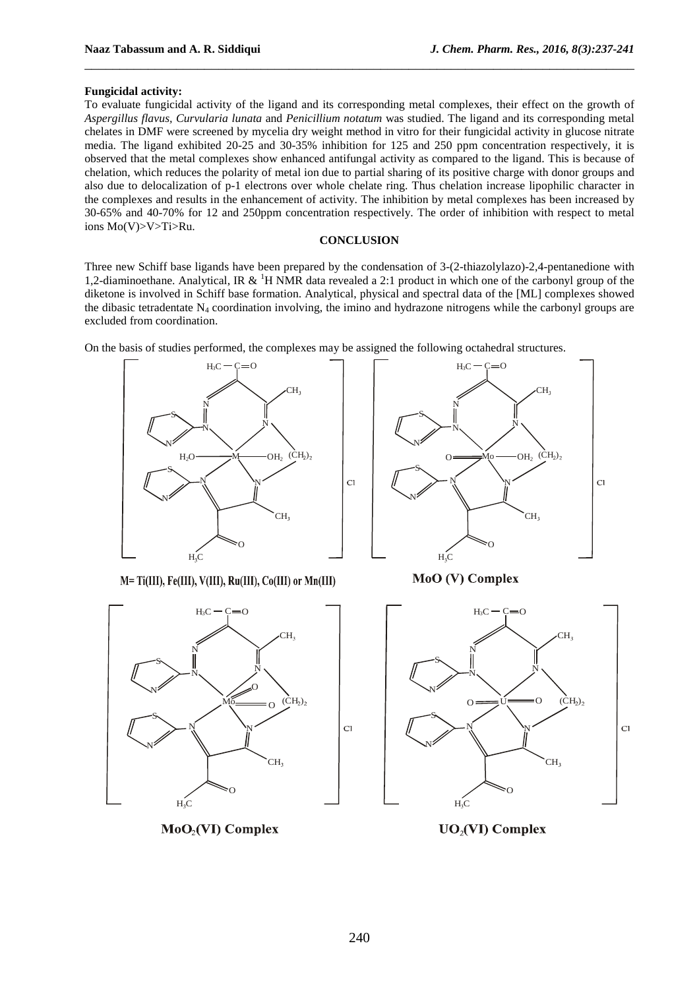### **Fungicidal activity:**

To evaluate fungicidal activity of the ligand and its corresponding metal complexes, their effect on the growth of *Aspergillus flavus, Curvularia lunata* and *Penicillium notatum* was studied. The ligand and its corresponding metal chelates in DMF were screened by mycelia dry weight method in vitro for their fungicidal activity in glucose nitrate media. The ligand exhibited 20-25 and 30-35% inhibition for 125 and 250 ppm concentration respectively, it is observed that the metal complexes show enhanced antifungal activity as compared to the ligand. This is because of chelation, which reduces the polarity of metal ion due to partial sharing of its positive charge with donor groups and also due to delocalization of p-1 electrons over whole chelate ring. Thus chelation increase lipophilic character in the complexes and results in the enhancement of activity. The inhibition by metal complexes has been increased by 30-65% and 40-70% for 12 and 250ppm concentration respectively. The order of inhibition with respect to metal ions Mo(V)>V>Ti>Ru.

\_\_\_\_\_\_\_\_\_\_\_\_\_\_\_\_\_\_\_\_\_\_\_\_\_\_\_\_\_\_\_\_\_\_\_\_\_\_\_\_\_\_\_\_\_\_\_\_\_\_\_\_\_\_\_\_\_\_\_\_\_\_\_\_\_\_\_\_\_\_\_\_\_\_\_\_\_\_

## **CONCLUSION**

Three new Schiff base ligands have been prepared by the condensation of 3-(2-thiazolylazo)-2,4-pentanedione with 1.2-diaminoethane. Analytical, IR  $\&$  <sup>1</sup>H NMR data revealed a 2:1 product in which one of the carbonyl group of the diketone is involved in Schiff base formation. Analytical, physical and spectral data of the [ML] complexes showed the dibasic tetradentate  $N_4$  coordination involving, the imino and hydrazone nitrogens while the carbonyl groups are excluded from coordination.

On the basis of studies performed, the complexes may be assigned the following octahedral structures.



 $CH_3$   $CH_3$   $CH_3$ S  $N \setminus$   $\begin{array}{ccc} & | & | & | & | \end{array}$   $\begin{array}{ccc} & | & | & | & | & | \end{array}$ N  $(\text{CH}_2)_2$   $0 \longrightarrow M_0 \longrightarrow \text{OH}_2$  (CH<sub>2</sub>)  $H_2O \longrightarrow M$   $OH_2$   $(CH_2)_2$   $\downarrow$   $O \longrightarrow M_0$   $OH_2$ S  $\overline{C}$  $N$  | CI |  $N$   $N$   $N$  $_{\rm N}$  $CH_3$   $CH_3$ 0 and  $\sqrt{80}$ 

M= Ti(III), Fe(III), V(III), Ru(III), Co(III) or Mn(III)



 $MoO<sub>2</sub>(VI)$  Complex

**MoO** (V) Complex



**UO<sub>2</sub>(VI)** Complex